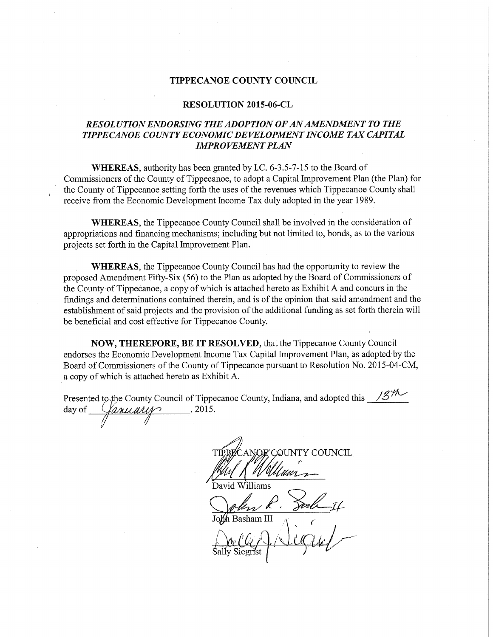## TIPPECANOE COUNTY COUNCIL

## RESOLUTION 2015-06-CL

## RESOLUTION ENDORSING THE ADOPTION OF AN AMENDMENT TO THE TIPPECANOE COUNTY ECONOMIC DEVELOPMENT INCOME TAX CAPITAL **IMPROVEMENT PLAN**

WHEREAS, authority has been granted by I.C. 6-3.5-7-15 to the Board of Commissioners of the County of Tippecanoe, to adopt <sup>a</sup> Capital Improvement Plan (the Plan) for the County of Tippecanoe setting forth the uses of the revenues which Tippecanoe County shall receive from the Economic Development Income Tax duly adopted in the year 1989.

WHEREAS, the Tippecanoe County Council shall be involved in the consideration of appropriations and financing mechanisms; including but not limited to, bonds, as to the various projects set forth in the Capital Improvement Plan.

 WHEREAS, the Tippecanoe County Council has had the opportunity to review the proposed Amendment Fifty-Six (56) to the Plan as adopted by the Board of Commissioners of the County-of Tippecanoe, a copy of which is attached hereto as Exhibit A and concurs in the findings and determinations contained therein, and is of the opinion that said amendment and the establishment of said projects and the provision of the additional funding as set forth therein will be beneficial and cost effective for Tippecanoe County.

NOW, THEREFORE, BE IT RESOLVED, that the Tippecanoe County Council endorses the Economic Development Income Tax Capital Improvement Plan, as adopted-by the Board of Commissioners of the County of Tippecanoe pursuant to Resolution No. 2015-04-CM, <sup>a</sup> copy ofwhich is attached hereto as Exhibit A.

Presented to the County Council of Tippecanoe County, Indiana, and adopted this 18/10<br>day of <u>Garically</u> day of Yanuary

**QUNTY COUNCIL** . . . . K 'N UU  $^{\prime}$  /

Bavid Williams